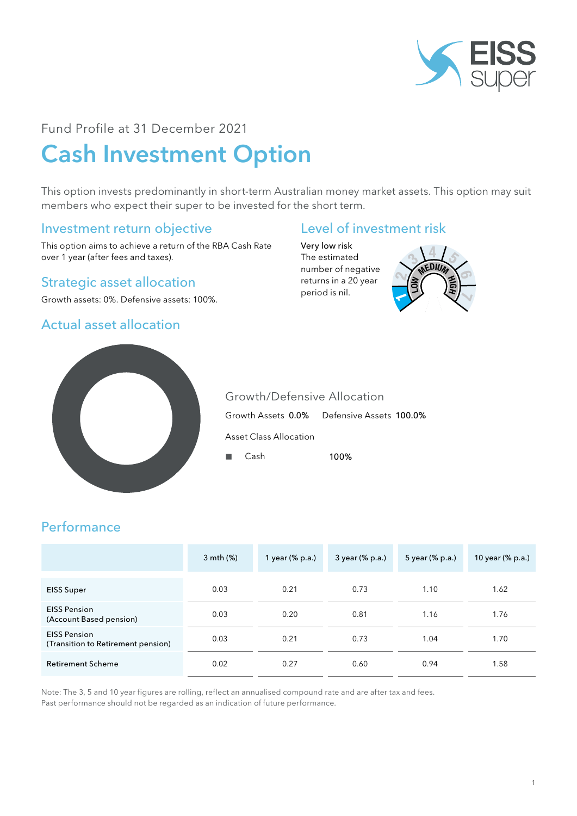

## Fund Profile at 31 December 2021

# Cash Investment Option

This option invests predominantly in short-term Australian money market assets. This option may suit members who expect their super to be invested for the short term.

# Investment return objective

This option aims to achieve a return of the RBA Cash Rate over 1 year (after fees and taxes).

#### Strategic asset allocation

Growth assets: 0%. Defensive assets: 100%.

# Actual asset allocation

# Level of investment risk

Very low risk The estimated number of negative returns in a 20 year period is nil.





Growth/Defensive Allocation Growth Assets 0.0% Defensive Assets 100.0% Asset Class Allocation

■ Cash 100%

# Performance

|                                                           | 3 mth (%) | 1 year (% p.a.) | 3 year (% p.a.) | 5 year (% p.a.) | 10 year (% p.a.) |
|-----------------------------------------------------------|-----------|-----------------|-----------------|-----------------|------------------|
| <b>EISS Super</b>                                         | 0.03      | 0.21            | 0.73            | 1.10            | 1.62             |
| <b>EISS Pension</b><br>(Account Based pension)            | 0.03      | 0.20            | 0.81            | 1.16            | 1.76             |
| <b>EISS Pension</b><br>(Transition to Retirement pension) | 0.03      | 0.21            | 0.73            | 1.04            | 1.70             |
| <b>Retirement Scheme</b>                                  | 0.02      | 0.27            | 0.60            | 0.94            | 1.58             |

Note: The 3, 5 and 10 year figures are rolling, reflect an annualised compound rate and are after tax and fees. Past performance should not be regarded as an indication of future performance.